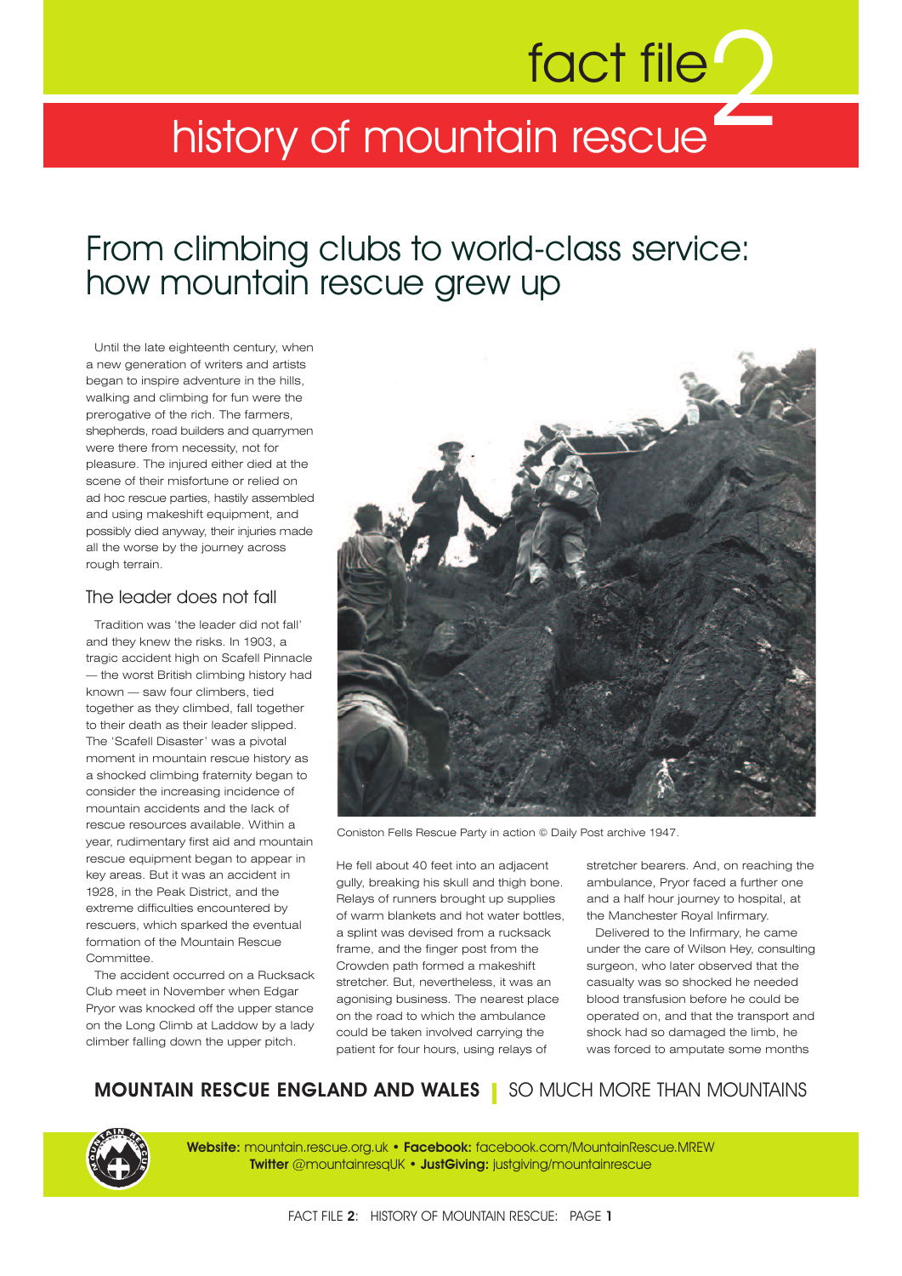# fact file<sup>"</sup>

# history of mountain rescue

# From climbing clubs to world-class service: how mountain rescue grew up

Until the late eighteenth century, when a new generation of writers and artists began to inspire adventure in the hills, walking and climbing for fun were the prerogative of the rich. The farmers, shepherds, road builders and quarrymen were there from necessity, not for pleasure. The injured either died at the scene of their misfortune or relied on ad hoc rescue parties, hastily assembled and using makeshift equipment, and possibly died anyway, their injuries made all the worse by the journey across rough terrain.

## The leader does not fall

Tradition was 'the leader did not fall' and they knew the risks. In 1903, a tragic accident high on Scafell Pinnacle — the worst British climbing history had known — saw four climbers, tied together as they climbed, fall together to their death as their leader slipped. The 'Scafell Disaster' was a pivotal moment in mountain rescue history as a shocked climbing fraternity began to consider the increasing incidence of mountain accidents and the lack of rescue resources available. Within a year, rudimentary first aid and mountain rescue equipment began to appear in key areas. But it was an accident in 1928, in the Peak District, and the extreme difficulties encountered by rescuers, which sparked the eventual formation of the Mountain Rescue Committee.

The accident occurred on a Rucksack Club meet in November when Edgar Pryor was knocked off the upper stance on the Long Climb at Laddow by a lady climber falling down the upper pitch.



Coniston Fells Rescue Party in action © Daily Post archive 1947.

He fell about 40 feet into an adjacent gully, breaking his skull and thigh bone. Relays of runners brought up supplies of warm blankets and hot water bottles, a splint was devised from a rucksack frame, and the finger post from the Crowden path formed a makeshift stretcher. But, nevertheless, it was an agonising business. The nearest place on the road to which the ambulance could be taken involved carrying the patient for four hours, using relays of

stretcher bearers. And, on reaching the ambulance, Pryor faced a further one and a half hour journey to hospital, at the Manchester Royal Infirmary.

Delivered to the Infirmary, he came under the care of Wilson Hey, consulting surgeon, who later observed that the casualty was so shocked he needed blood transfusion before he could be operated on, and that the transport and shock had so damaged the limb, he was forced to amputate some months

**MOUNTAIN RESCUE ENGLAND AND WALES** | SO MUCH MORE THAN MOUNTAINS

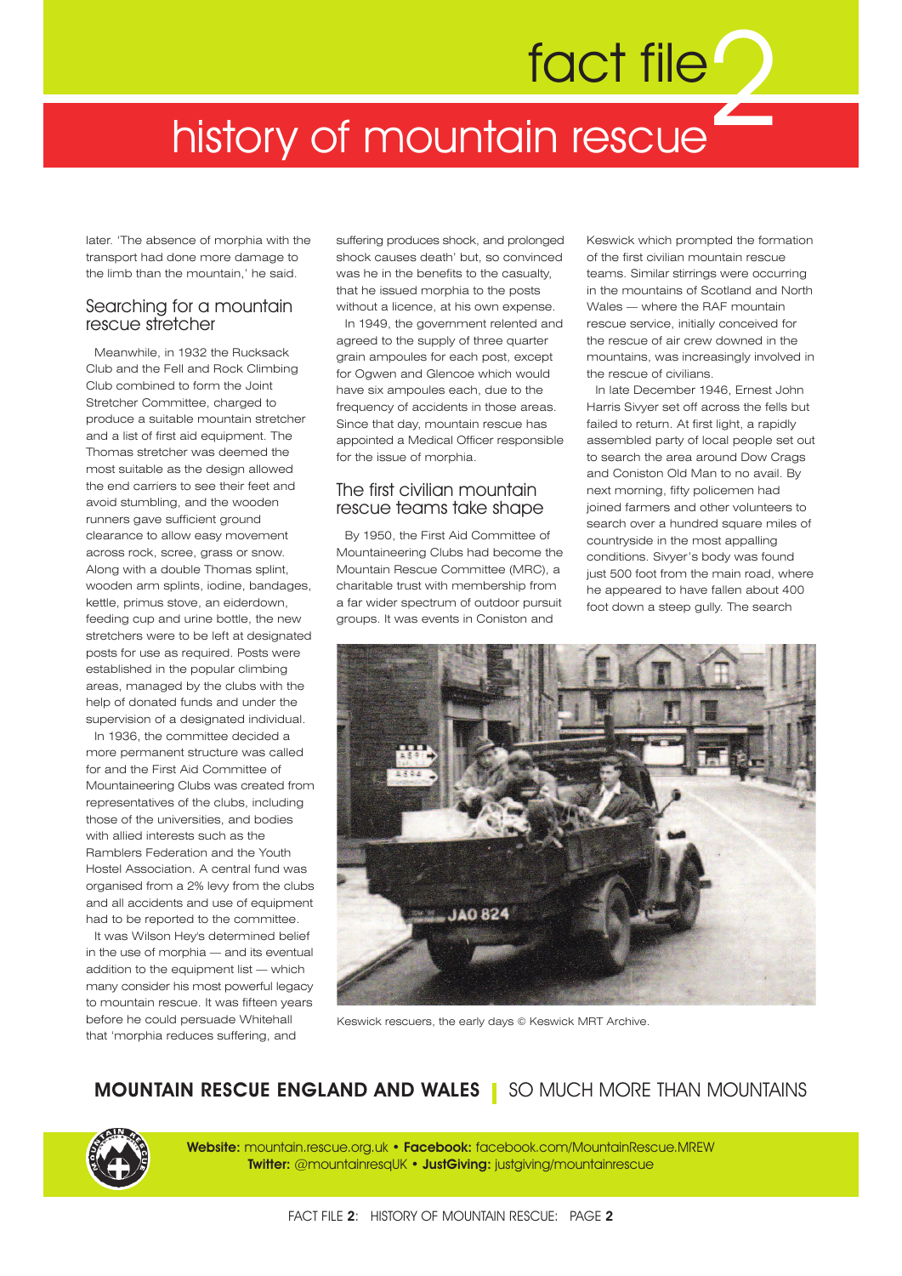# 2 fact file history of mountain rescue

later. 'The absence of morphia with the transport had done more damage to the limb than the mountain,' he said.

### Searching for a mountain rescue stretcher

Meanwhile, in 1932 the Rucksack Club and the Fell and Rock Climbing Club combined to form the Joint Stretcher Committee, charged to produce a suitable mountain stretcher and a list of first aid equipment. The Thomas stretcher was deemed the most suitable as the design allowed the end carriers to see their feet and avoid stumbling, and the wooden runners gave sufficient ground clearance to allow easy movement across rock, scree, grass or snow. Along with a double Thomas splint, wooden arm splints, iodine, bandages, kettle, primus stove, an eiderdown, feeding cup and urine bottle, the new stretchers were to be left at designated posts for use as required. Posts were established in the popular climbing areas, managed by the clubs with the help of donated funds and under the supervision of a designated individual.

In 1936, the committee decided a more permanent structure was called for and the First Aid Committee of Mountaineering Clubs was created from representatives of the clubs, including those of the universities, and bodies with allied interests such as the Ramblers Federation and the Youth Hostel Association. A central fund was organised from a 2% levy from the clubs and all accidents and use of equipment had to be reported to the committee.

It was Wilson Hey's determined belief in the use of morphia — and its eventual addition to the equipment list — which many consider his most powerful legacy to mountain rescue. It was fifteen years before he could persuade Whitehall that 'morphia reduces suffering, and

suffering produces shock, and prolonged shock causes death' but, so convinced was he in the benefits to the casualty, that he issued morphia to the posts without a licence, at his own expense.

In 1949, the government relented and agreed to the supply of three quarter grain ampoules for each post, except for Ogwen and Glencoe which would have six ampoules each, due to the frequency of accidents in those areas. Since that day, mountain rescue has appointed a Medical Officer responsible for the issue of morphia.

### The first civilian mountain rescue teams take shape

By 1950, the First Aid Committee of Mountaineering Clubs had become the Mountain Rescue Committee (MRC), a charitable trust with membership from a far wider spectrum of outdoor pursuit groups. It was events in Coniston and

Keswick which prompted the formation of the first civilian mountain rescue teams. Similar stirrings were occurring in the mountains of Scotland and North Wales — where the RAF mountain rescue service, initially conceived for the rescue of air crew downed in the mountains, was increasingly involved in the rescue of civilians.

In late December 1946, Ernest John Harris Sivyer set off across the fells but failed to return. At first light, a rapidly assembled party of local people set out to search the area around Dow Crags and Coniston Old Man to no avail. By next morning, fifty policemen had joined farmers and other volunteers to search over a hundred square miles of countryside in the most appalling conditions. Sivyer's body was found just 500 foot from the main road, where he appeared to have fallen about 400 foot down a steep gully. The search



Keswick rescuers, the early days © Keswick MRT Archive.

# **MOUNTAIN RESCUE ENGLAND AND WALES** SO MUCH MORE THAN MOUNTAINS



**Website:** mountain.rescue.org.uk • **Facebook:** facebook.com/MountainRescue.MREW **Twitter:** @mountainresqUK • **JustGiving:** justgiving/mountainrescue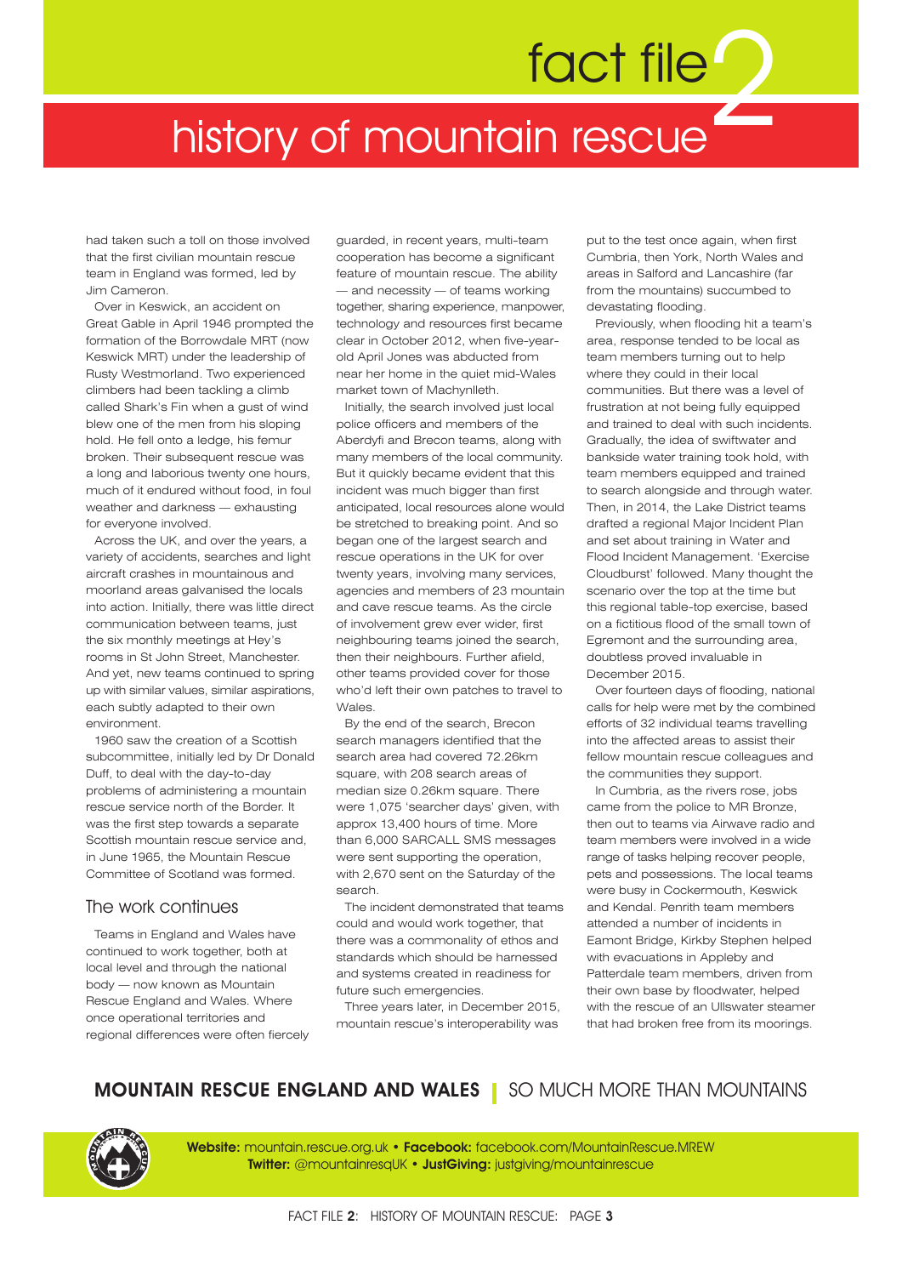# 2 fact file history of mountain rescue

had taken such a toll on those involved that the first civilian mountain rescue team in England was formed, led by Jim Cameron.

Over in Keswick, an accident on Great Gable in April 1946 prompted the formation of the Borrowdale MRT (now Keswick MRT) under the leadership of Rusty Westmorland. Two experienced climbers had been tackling a climb called Shark's Fin when a gust of wind blew one of the men from his sloping hold. He fell onto a ledge, his femur broken. Their subsequent rescue was a long and laborious twenty one hours, much of it endured without food, in foul weather and darkness — exhausting for everyone involved.

Across the UK, and over the years, a variety of accidents, searches and light aircraft crashes in mountainous and moorland areas galvanised the locals into action. Initially, there was little direct communication between teams, just the six monthly meetings at Hey's rooms in St John Street, Manchester. And yet, new teams continued to spring up with similar values, similar aspirations, each subtly adapted to their own environment.

1960 saw the creation of a Scottish subcommittee, initially led by Dr Donald Duff, to deal with the day-to-day problems of administering a mountain rescue service north of the Border. It was the first step towards a separate Scottish mountain rescue service and in June 1965, the Mountain Rescue Committee of Scotland was formed.

### The work continues

Teams in England and Wales have continued to work together, both at local level and through the national body — now known as Mountain Rescue England and Wales. Where once operational territories and regional differences were often fiercely guarded, in recent years, multi-team cooperation has become a significant feature of mountain rescue. The ability — and necessity — of teams working

together, sharing experience, manpower, technology and resources first became clear in October 2012, when five-yearold April Jones was abducted from near her home in the quiet mid-Wales market town of Machynlleth.

Initially, the search involved just local police officers and members of the Aberdyfi and Brecon teams, along with many members of the local community. But it quickly became evident that this incident was much bigger than first anticipated, local resources alone would be stretched to breaking point. And so began one of the largest search and rescue operations in the UK for over twenty years, involving many services, agencies and members of 23 mountain and cave rescue teams. As the circle of involvement grew ever wider, first neighbouring teams joined the search, then their neighbours. Further afield, other teams provided cover for those who'd left their own patches to travel to Wales.

By the end of the search, Brecon search managers identified that the search area had covered 72.26km square, with 208 search areas of median size 0.26km square. There were 1,075 'searcher days' given, with approx 13,400 hours of time. More than 6,000 SARCALL SMS messages were sent supporting the operation, with 2,670 sent on the Saturday of the search.

The incident demonstrated that teams could and would work together, that there was a commonality of ethos and standards which should be harnessed and systems created in readiness for future such emergencies.

Three years later, in December 2015, mountain rescue's interoperability was

put to the test once again, when first Cumbria, then York, North Wales and areas in Salford and Lancashire (far from the mountains) succumbed to devastating flooding.

Previously, when flooding hit a team's area, response tended to be local as team members turning out to help where they could in their local communities. But there was a level of frustration at not being fully equipped and trained to deal with such incidents. Gradually, the idea of swiftwater and bankside water training took hold, with team members equipped and trained to search alongside and through water. Then, in 2014, the Lake District teams drafted a regional Major Incident Plan and set about training in Water and Flood Incident Management. 'Exercise Cloudburst' followed. Many thought the scenario over the top at the time but this regional table-top exercise, based on a fictitious flood of the small town of Egremont and the surrounding area, doubtless proved invaluable in December 2015.

Over fourteen days of flooding, national calls for help were met by the combined efforts of 32 individual teams travelling into the affected areas to assist their fellow mountain rescue colleagues and the communities they support.

In Cumbria, as the rivers rose, jobs came from the police to MR Bronze, then out to teams via Airwave radio and team members were involved in a wide range of tasks helping recover people, pets and possessions. The local teams were busy in Cockermouth, Keswick and Kendal. Penrith team members attended a number of incidents in Eamont Bridge, Kirkby Stephen helped with evacuations in Appleby and Patterdale team members, driven from their own base by floodwater, helped with the rescue of an Ullswater steamer that had broken free from its moorings.

# **MOUNTAIN RESCUE ENGLAND AND WALES** SO MUCH MORE THAN MOUNTAINS



**Website:** mountain.rescue.org.uk • **Facebook:** facebook.com/MountainRescue.MREW **Twitter:** @mountainresqUK • **JustGiving:** justgiving/mountainrescue